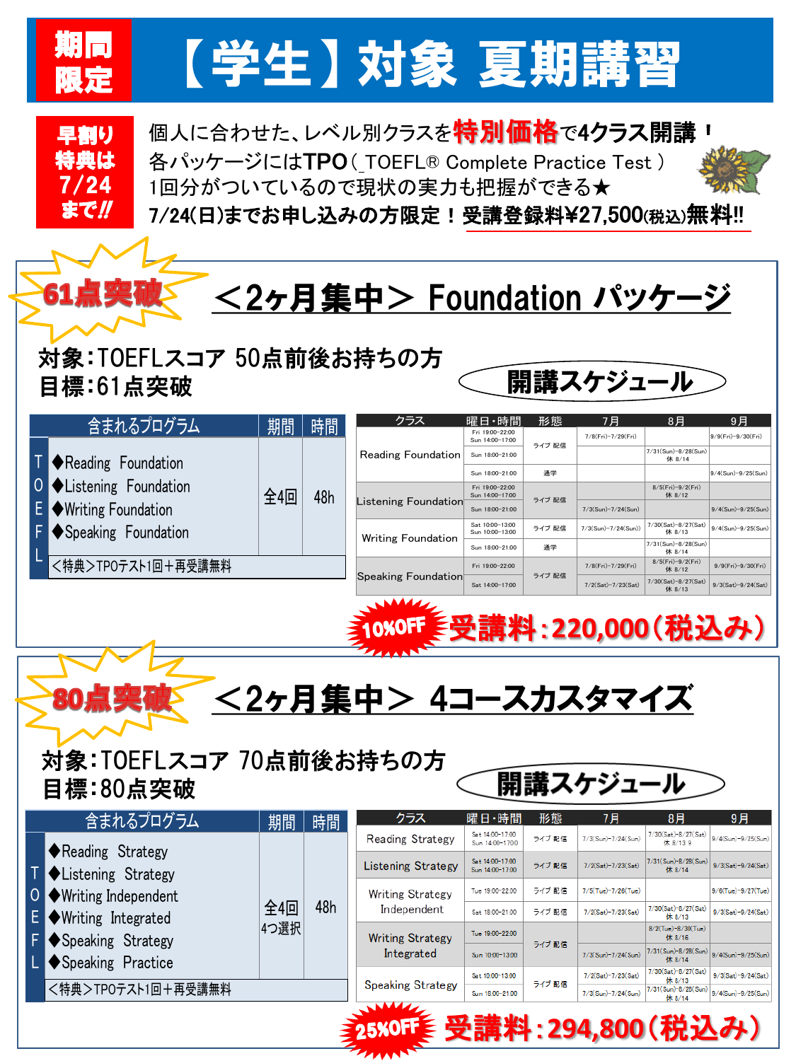